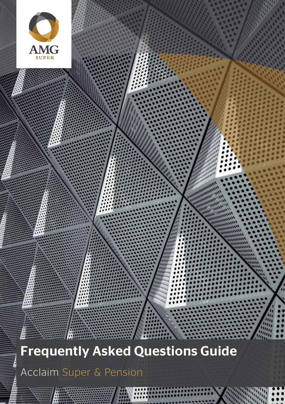

Acclaim Super & Pension

Page 1 Page 1 Page 1 Page 1 Page 1 Page 1 Page 1 Page 1 Page 1 Page 1 Page 1 Page 1 Page 1 Page 1 Page 1 Page 1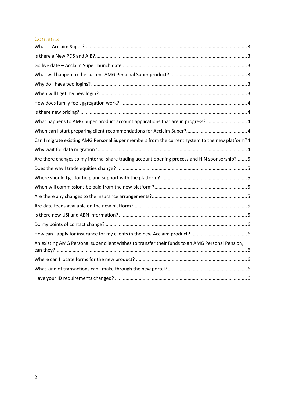# **Contents**

| What happens to AMG Super product account applications that are in progress? 4                   |
|--------------------------------------------------------------------------------------------------|
|                                                                                                  |
| Can I migrate existing AMG Personal Super members from the current system to the new platform?4  |
|                                                                                                  |
| Are there changes to my internal share trading account opening process and HIN sponsorship?  5   |
|                                                                                                  |
|                                                                                                  |
|                                                                                                  |
|                                                                                                  |
|                                                                                                  |
|                                                                                                  |
|                                                                                                  |
|                                                                                                  |
| An existing AMG Personal super client wishes to transfer their funds to an AMG Personal Pension, |
|                                                                                                  |
|                                                                                                  |
|                                                                                                  |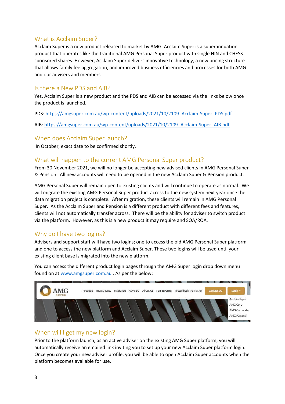# <span id="page-2-0"></span>What is Acclaim Super?

Acclaim Super is a new product released to market by AMG. Acclaim Super is a superannuation product that operates like the traditional AMG Personal Super product with single HIN and CHESS sponsored shares. However, Acclaim Super delivers innovative technology, a new pricing structure that allows family fee aggregation, and improved business efficiencies and processes for both AMG and our advisers and members.

## <span id="page-2-1"></span>Is there a New PDS and AIB?

Yes, Acclaim Super is a new product and the PDS and AIB can be accessed via the links below once the product is launched.

PDS: [https://amgsuper.com.au/wp-content/uploads/2021/10/2109\\_Acclaim-Super\\_PDS.pdf](https://amgsuper.com.au/wp-content/uploads/2021/10/2109_Acclaim-Super_PDS.pdf)

AIB[: https://amgsuper.com.au/wp-content/uploads/2021/10/2109\\_Acclaim-Super\\_AIB.pdf](https://amgsuper.com.au/wp-content/uploads/2021/10/2109_Acclaim-Super_AIB.pdf)

### <span id="page-2-2"></span>When does Acclaim Super launch?

In October, exact date to be confirmed shortly.

## <span id="page-2-3"></span>What will happen to the current AMG Personal Super product?

From 30 November 2021, we will no longer be accepting new advised clients in AMG Personal Super & Pension. All new accounts will need to be opened in the new Acclaim Super & Pension product.

AMG Personal Super will remain open to existing clients and will continue to operate as normal. We will migrate the existing AMG Personal Super product across to the new system next year once the data migration project is complete. After migration, these clients will remain in AMG Personal Super. As the Acclaim Super and Pension is a different product with different fees and features, clients will not automatically transfer across. There will be the ability for adviser to switch product via the platform. However, as this is a new product it may require and SOA/ROA.

## <span id="page-2-4"></span>Why do I have two logins?

Advisers and support staff will have two logins; one to access the old AMG Personal Super platform and one to access the new platform and Acclaim Super. These two logins will be used until your existing client base is migrated into the new platform.

You can access the different product login pages through the AMG Super login drop down menu found on a[t www.amgsuper.com.au](http://www.amgsuper.com.au/). As per the below:



## <span id="page-2-5"></span>When will I get my new login?

Prior to the platform launch, as an active adviser on the existing AMG Super platform, you will automatically receive an emailed link inviting you to set up your new Acclaim Super platform login. Once you create your new adviser profile, you will be able to open Acclaim Super accounts when the platform becomes available for use.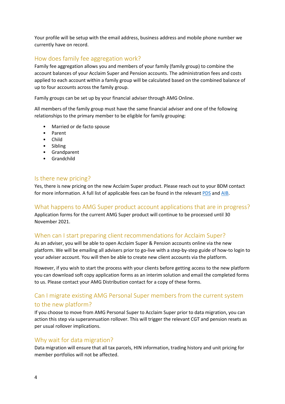Your profile will be setup with the email address, business address and mobile phone number we currently have on record.

# <span id="page-3-0"></span>How does family fee aggregation work?

Family fee aggregation allows you and members of your family (family group) to combine the account balances of your Acclaim Super and Pension accounts. The administration fees and costs applied to each account within a family group will be calculated based on the combined balance of up to four accounts across the family group.

Family groups can be set up by your financial adviser through AMG Online.

All members of the family group must have the same financial adviser and one of the following relationships to the primary member to be eligible for family grouping:

- Married or de facto spouse
- Parent
- Child
- Sibling
- Grandparent
- Grandchild

#### <span id="page-3-1"></span>Is there new pricing?

Yes, there is new pricing on the new Acclaim Super product. Please reach out to your BDM contact for more information. A full list of applicable fees can be found in the relevan[t PDS](https://amgsuper.com.au/wp-content/uploads/2021/10/2109_Acclaim-Super_PDS.pdf) and [AIB.](https://amgsuper.com.au/wp-content/uploads/2021/10/2109_Acclaim-Super_AIB.pdf)

### <span id="page-3-2"></span>What happens to AMG Super product account applications that are in progress?

Application forms for the current AMG Super product will continue to be processed until 30 November 2021.

## <span id="page-3-3"></span>When can I start preparing client recommendations for Acclaim Super?

As an adviser, you will be able to open Acclaim Super & Pension accounts online via the new platform. We will be emailing all advisers prior to go-live with a step-by-step guide of how-to login to your adviser account. You will then be able to create new client accounts via the platform.

However, if you wish to start the process with your clients before getting access to the new platform you can download soft copy application forms as an interim solution and email the completed forms to us. Please contact your AMG Distribution contact for a copy of these forms.

# <span id="page-3-4"></span>Can I migrate existing AMG Personal Super members from the current system to the new platform?

If you choose to move from AMG Personal Super to Acclaim Super prior to data migration, you can action this step via superannuation rollover. This will trigger the relevant CGT and pension resets as per usual rollover implications.

## <span id="page-3-5"></span>Why wait for data migration?

Data migration will ensure that all tax parcels, HIN information, trading history and unit pricing for member portfolios will not be affected.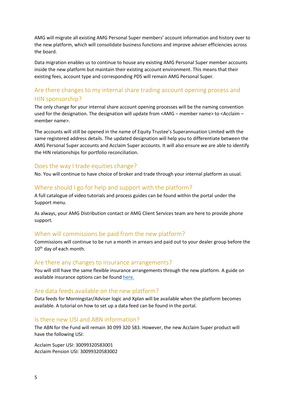AMG will migrate all existing AMG Personal Super members' account information and history over to the new platform, which will consolidate business functions and improve adviser efficiencies across the board.

Data migration enables us to continue to house any existing AMG Personal Super member accounts inside the new platform but maintain their existing account environment. This means that their existing fees, account type and corresponding PDS will remain AMG Personal Super.

# <span id="page-4-0"></span>Are there changes to my internal share trading account opening process and HIN sponsorship?

The only change for your internal share account opening processes will be the naming convention used for the designation. The designation will update from <AMG – member name> to <Acclaim – member name>.

The accounts will still be opened in the name of Equity Trustee's Superannuation Limited with the same registered address details. The updated designation will help you to differentiate between the AMG Personal Super accounts and Acclaim Super accounts. It will also ensure we are able to identify the HIN relationships for portfolio reconciliation.

#### <span id="page-4-1"></span>Does the way I trade equities change?

No. You will continue to have choice of broker and trade through your internal platform as usual.

#### <span id="page-4-2"></span>Where should I go for help and support with the platform?

A full catalogue of video tutorials and process guides can be found within the portal under the Support menu.

As always, your AMG Distribution contact or AMG Client Services team are here to provide phone support.

### <span id="page-4-3"></span>When will commissions be paid from the new platform?

Commissions will continue to be run a month in arrears and paid out to your dealer group before the 10<sup>th</sup> day of each month.

#### <span id="page-4-4"></span>Are there any changes to insurance arrangements?

You will still have the same flexible insurance arrangements through the new platform. A guide on available insurance options can be found [here.](https://amgsuper.com.au/wp-content/uploads/2021/10/2109_AMG-Insurance-Flyer_V5.pdf)

#### <span id="page-4-5"></span>Are data feeds available on the new platform?

Data feeds for Morningstar/Adviser logic and Xplan will be available when the platform becomes available. A tutorial on how to set up a data feed can be found in the portal.

#### <span id="page-4-6"></span>Is there new USI and ABN information?

The ABN for the Fund will remain 30 099 320 583. However, the new Acclaim Super product will have the following USI:

Acclaim Super USI: 30099320583001 Acclaim Pension USI: 30099320583002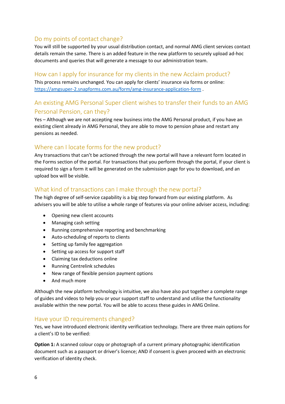## <span id="page-5-0"></span>Do my points of contact change?

You will still be supported by your usual distribution contact, and normal AMG client services contact details remain the same. There is an added feature in the new platform to securely upload ad-hoc documents and queries that will generate a message to our administration team.

# <span id="page-5-1"></span>How can I apply for insurance for my clients in the new Acclaim product?

This process remains unchanged. You can apply for clients' insurance via forms or online: <https://amgsuper-2.snapforms.com.au/form/amg-insurance-application-form> .

# <span id="page-5-2"></span>An existing AMG Personal Super client wishes to transfer their funds to an AMG Personal Pension, can they?

Yes – Although we are not accepting new business into the AMG Personal product, if you have an existing client already in AMG Personal, they are able to move to pension phase and restart any pensions as needed.

# <span id="page-5-3"></span>Where can I locate forms for the new product?

Any transactions that can't be actioned through the new portal will have a relevant form located in the Forms section of the portal. For transactions that you perform through the portal, if your client is required to sign a form it will be generated on the submission page for you to download, and an upload box will be visible.

# <span id="page-5-4"></span>What kind of transactions can I make through the new portal?

The high degree of self-service capability is a big step forward from our existing platform. As advisers you will be able to utilise a whole range of features via your online adviser access, including:

- Opening new client accounts
- Managing cash setting
- Running comprehensive reporting and benchmarking
- Auto-scheduling of reports to clients
- Setting up family fee aggregation
- Setting up access for support staff
- Claiming tax deductions online
- Running Centrelink schedules
- New range of flexible pension payment options
- And much more

Although the new platform technology is intuitive, we also have also put together a complete range of guides and videos to help you or your support staff to understand and utilise the functionality available within the new portal. You will be able to access these guides in AMG Online.

### <span id="page-5-5"></span>Have your ID requirements changed?

Yes, we have introduced electronic identity verification technology. There are three main options for a client's ID to be verified:

**Option 1:** A scanned colour copy or photograph of a current primary photographic identification document such as a passport or driver's licence; AND if consent is given proceed with an electronic verification of identity check.